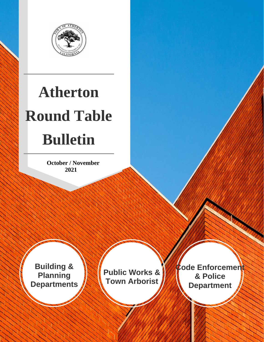

# **Atherton Round Table Bulletin**

 **October / November 2021**

**Building & Planning Departments**

**Public Works & Town Arborist**

**Code Enforcement & Police Department**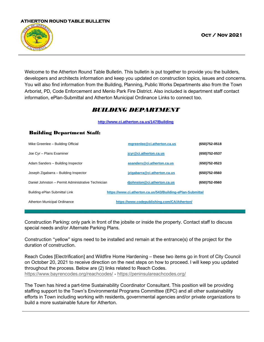

Welcome to the Atherton Round Table Bulletin. This bulletin is put together to provide you the builders, developers and architects information and keep you updated on construction topics, issues and concerns. You will also find information from the Building, Planning, Public Works Departments also from the Town Arborist, PD, Code Enforcement and Menlo Park Fire District. Also included is department staff contact information, ePlan-Submittal and Atherton Municipal Ordinance Links to connect too.

# *BUILDING DEPARTMENT*

#### **[h](http://www.ci.atherton.ca.us/147/Building)[ttp://www.ci.atherton.ca.us/147/Building](http://www.ci.atherton.ca.us/147/Building)**

| Mike Greenlee - Building Official                                                           | mgreenlee@ci.atherton.ca.us                 | (650)752-0518     |
|---------------------------------------------------------------------------------------------|---------------------------------------------|-------------------|
| Joe Cyr - Plans Examiner                                                                    | jcyr@ci.atherton.ca.us                      | (650)752-0537     |
| Adam Sanders - Building Inspector                                                           | asanders@ci.atherton.ca.us                  | $(650)752 - 0523$ |
| Joseph Zigabarra – Building Inspector                                                       | izigabarra@ci.atherton.ca.us                | (650)752-0560     |
| Daniel Johnston - Permit Administrative Technician                                          | diohnston@ci.atherton.ca.us                 | (650)752-0560     |
| https://www.ci.atherton.ca.us/543/Building-ePlan-Submittal<br>Building ePlan Submittal Link |                                             |                   |
| Atherton Municipal Ordinance                                                                | https://www.codepublishing.com/CA/Atherton/ |                   |

### Building Department Staff:

Construction Parking: only park in front of the jobsite or inside the property. Contact staff to discuss special needs and/or Alternate Parking Plans.

Construction "yellow" signs need to be installed and remain at the entrance(s) of the project for the duration of construction.

Reach Codes [Electrification] and Wildfire Home Hardening – these two items go in front of City Council on October 20, 2021 to receive direction on the next steps on how to proceed. I will keep you updated throughout the process. Below are (2) links related to Reach Codes. <https://www.bayrencodes.org/reachcodes/> - <https://peninsulareachcodes.org/>

The Town has hired a part-time [Sustainability Coordinator](https://www.ci.atherton.ca.us/DocumentCenter/View/8911/RFP-for-Sustainability-Coodinator?bidId=) Consultant. This position will be providing staffing support to the Town's Environmental Programs Committee (EPC) and all other sustainability efforts in Town including working with residents, governmental agencies and/or private organizations to build a more sustainable future for Atherton.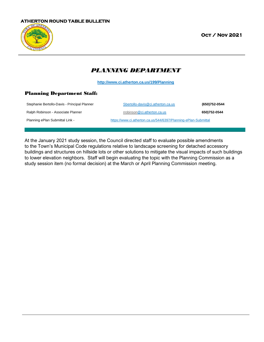

 **Oct / Nov 2021** 

# *PLANNING DEPARTMENT*

**<http://www.ci.atherton.ca.us/199/Planning>**

#### Planning Department Staff:

| Stephanie Bertollo-Davis - Principal Planner | Sbertollo-davis@ci.atherton.ca.us                               | (650)752-0544 |
|----------------------------------------------|-----------------------------------------------------------------|---------------|
| Ralph Robinson - Associate Planner           | rrobinson@ci.atherton.ca.us                                     | 650)752-0544  |
| Planning ePlan Submittal Link -              | https://www.ci.atherton.ca.us/544/6397/Planning-ePlan-Submittal |               |

At the January 2021 study session, the Council directed staff to evaluate possible amendments to the Town's Municipal Code regulations relative to landscape screening for detached accessory buildings and structures on hillside lots or other solutions to mitigate the visual impacts of such buildings to lower elevation neighbors. Staff will begin evaluating the topic with the Planning Commission as a study session item (no formal decision) at the March or April Planning Commission meeting.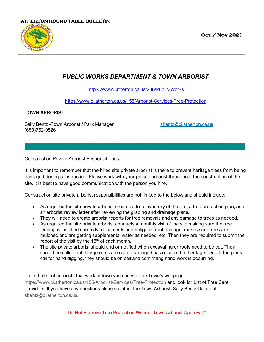

 **Oct / Nov 2021** 

# *PUBLIC WORKS DEPARTMENT & TOWN ARBORIST*

<http://www.ci.atherton.ca.us/236/Public-Works>

<https://www.ci.atherton.ca.us/155/Arborist-Services-Tree-Protection>

## **TOWN ARBORIST:**

Sally Bentz -Town Arborist / Park Manager subsection spentz@ci.atherton.ca.us (650)752-0526

## Construction Private Arborist Responsibilities

It is important to remember that the hired site private arborist is there to prevent heritage trees from being damaged during construction. Please work with your private arborist throughout the construction of the site. It is best to have good communication with the person you hire.

\_\_\_\_\_\_\_\_\_\_\_\_\_\_\_\_\_\_\_\_\_\_\_\_\_\_\_\_\_\_\_\_\_\_\_\_\_\_\_\_\_\_\_\_\_\_\_\_\_\_\_\_\_\_\_\_\_\_\_\_\_\_\_\_\_\_\_\_\_\_\_\_\_\_\_\_\_\_\_\_\_\_\_\_\_\_\_\_\_\_\_\_\_  $\_$  , and the set of the set of the set of the set of the set of the set of the set of the set of the set of the set of the set of the set of the set of the set of the set of the set of the set of the set of the set of th

Construction site private arborist responsibilities are not limited to the below and should include:

- As required the site private arborist creates a tree inventory of the site, a tree protection plan, and an arborist review letter after reviewing the grading and drainage plans.
- They will need to create arborist reports for tree removals and any damage to trees as needed.
- As required the site private arborist conducts a monthly visit of the site making sure the tree fencing is installed correctly, documents and mitigates root damage, makes sure trees are mulched and are getting supplemental water as needed, etc. Then they are required to submit the report of the visit by the  $15<sup>th</sup>$  of each month.
- The site private arborist should and or notified when excavating or roots need to be cut. They should be called out if large roots are cut or damaged has occurred to heritage trees. If the plans call for hand digging, they should be on call and confirming hand work is occurring.

To find a list of arborists that work in town you can visit the Town's webpage <https://www.ci.atherton.ca.us/155/Arborist-Services-Tree-Protection> and look for List of Tree Care providers. If you have any questions please contact the Town Arborist, Sally Bentz-Dalton at [sbentz@ci.atherton.ca.us.](mailto:sbentz@ci.atherton.ca.us)

"Do Not Remove Tree Protection Without Town Arborist Approval."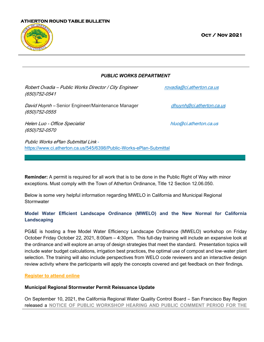

 **Oct / Nov 2021** 

*PUBLIC WORKS DEPARTMENT*

Robert Ovadia – Public Works Director / City Engineer [rovadia@ci.atherton.ca.us](mailto:rovadia@ci.atherton.ca.us) (650)752-0541

David Huynh – Senior Engineer/Maintenance Manager dhuynh@ci.atherton.ca.us (650)752-0555

Helen Luo - Office Specialist hluo@ci.atherton.ca.us (650)752-0570

Public Works ePlan Submittal Link <https://www.ci.atherton.ca.us/545/6398/Public-Works-ePlan-Submittal>

**Reminder:** A permit is required for all work that is to be done in the Public Right of Way with minor exceptions. Must comply with the Town of Atherton Ordinance, Title 12 Section 12.06.050.

 $\_$  , and the set of the set of the set of the set of the set of the set of the set of the set of the set of the set of the set of the set of the set of the set of the set of the set of the set of the set of the set of th

Below is some very helpful information regarding MWELO in California and Municipal Regional **Stormwater** 

# **Model Water Efficient Landscape Ordinance (MWELO) and the New Normal for California Landscaping**

PG&E is hosting a free Model Water Efficiency Landscape Ordinance (MWELO) workshop on Friday October Friday October 22, 2021, 8:00am – 4:30pm. This full-day training will include an expansive look at the ordinance and will explore an array of design strategies that meet the standard. Presentation topics will include water budget calculations, irrigation best practices, the optimal use of compost and low-water plant selection. The training will also include perspectives from WELO code reviewers and an interactive design review activity where the participants will apply the concepts covered and get feedback on their findings.

#### **[Register to attend online](https://gcc02.safelinks.protection.outlook.com/?url=https%3A%2F%2Fenergycenters.pge.com%2Fl%2F2q5nRePbrUOp1npq9gPrfIZSANLSqEo_LjDdN7Gks4E&data=04%7C01%7C%7C7316d6ed720f473cd25708d97d432d13%7Cb71d56524b834257afcd7fd177884564%7C0%7C0%7C637678549767823599%7CUnknown%7CTWFpbGZsb3d8eyJWIjoiMC4wLjAwMDAiLCJQIjoiV2luMzIiLCJBTiI6Ik1haWwiLCJXVCI6Mn0%3D%7C1000&sdata=WX%2FLBxMi5%2FumPw3G8QJk%2BYRgwhjQqR7xMTEAZbJkJ4c%3D&reserved=0)**

#### **Municipal Regional Stormwater Permit Reissuance Update**

On September 10, 2021, the California Regional Water Quality Control Board – San Francisco Bay Region released a **[NOTICE OF PUBLIC WORKSHOP HEARING AND PUBLIC COMMENT PERIOD FOR THE](https://www.waterboards.ca.gov/sanfranciscobay/water_issues/programs/stormwater/MRP/MRP%203%20October%202021%20Public%20Notice.pdf)**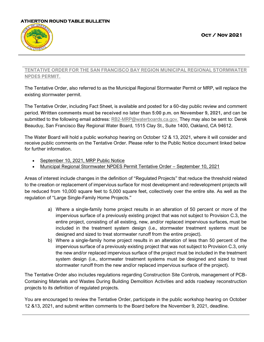

 **Oct / Nov 2021** 

# **[TENTATIVE ORDER FOR THE SAN FRANCISCO BAY REGION MUNICIPAL REGIONAL STORMWATER](https://www.waterboards.ca.gov/sanfranciscobay/water_issues/programs/stormwater/MRP/MRP%203%20October%202021%20Public%20Notice.pdf)  [NPDES PERMIT.](https://www.waterboards.ca.gov/sanfranciscobay/water_issues/programs/stormwater/MRP/MRP%203%20October%202021%20Public%20Notice.pdf)**

The Tentative Order, also referred to as the Municipal Regional Stormwater Permit or MRP, will replace the existing stormwater permit.

The Tentative Order, including Fact Sheet, is available and posted for a 60-day public review and comment period. **Written comments must be received no later than 5:00 p.m. on November 9, 2021,** and can be submitted to the following email address: [RB2-MRP@waterboards.ca.gov.](mailto:RB2-MRP@waterboards.ca.gov) They may also be sent to: Derek Beauduy, San Francisco Bay Regional Water Board, 1515 Clay St., Suite 1400, Oakland, CA 94612.

The Water Board will hold a public workshop hearing on October 12 & 13, 2021, where it will consider and receive public comments on the Tentative Order. Please refer to the Public Notice document linked below for further information.

- [September 10, 2021, MRP Public Notice](https://www.waterboards.ca.gov/sanfranciscobay/water_issues/programs/stormwater/MRP/MRP%203%20October%202021%20Public%20Notice.pdf)
- [Municipal Regional Stormwater NPDES Permit Tentative Order](https://www.waterboards.ca.gov/sanfranciscobay/water_issues/programs/stormwater/Compiled%20Order%20and%20All%20Attachments%20(RS-ACC).pdf)  September 10, 2021

Areas of interest include changes in the definition of "Regulated Projects" that reduce the threshold related to the creation or replacement of impervious surface for most development and redevelopment projects will be reduced from 10,000 square feet to 5,000 square feet, collectively over the entire site. As well as the regulation of "Large Single-Family Home Projects."

- a) Where a single-family home project results in an alteration of 50 percent or more of the impervious surface of a previously existing project that was not subject to Provision C.3, the entire project, consisting of all existing, new, and/or replaced impervious surfaces, must be included in the treatment system design (i.e., stormwater treatment systems must be designed and sized to treat stormwater runoff from the entire project).
- b) Where a single-family home project results in an alteration of less than 50 percent of the impervious surface of a previously existing project that was not subject to Provision C.3, only the new and/or replaced impervious surface of the project must be included in the treatment system design (i.e., stormwater treatment systems must be designed and sized to treat stormwater runoff from the new and/or replaced impervious surface of the project).

The Tentative Order also includes regulations regarding Construction Site Controls, management of PCB-Containing Materials and Wastes During Building Demolition Activities and adds roadway reconstruction projects to its definition of regulated projects.

You are encouraged to review the Tentative Order, participate in the public workshop hearing on October 12 &13, 2021, and submit written comments to the Board before the November 9, 2021, deadline.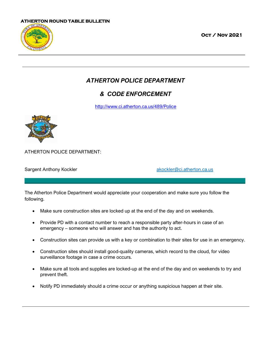

 **Oct / Nov 2021** 

# *ATHERTON POLICE DEPARTMENT*

# *& CODE ENFORCEMENT*

<http://www.ci.atherton.ca.us/489/Police>



ATHERTON POLICE DEPARTMENT:

Sargent Anthony Kockler and The Control of the Sargent Anthony Kockler [akockler@ci.atherton.ca.us](mailto:akockler@ci.atherton.ca.us)

The Atherton Police Department would appreciate your cooperation and make sure you follow the following.

 $\_$  , and the set of the set of the set of the set of the set of the set of the set of the set of the set of the set of the set of the set of the set of the set of the set of the set of the set of the set of the set of th

- Make sure construction sites are locked up at the end of the day and on weekends.
- Provide PD with a contact number to reach a responsible party after-hours in case of an emergency – someone who will answer and has the authority to act.
- Construction sites can provide us with a key or combination to their sites for use in an emergency.
- Construction sites should install good-quality cameras, which record to the cloud, for video surveillance footage in case a crime occurs.
- Make sure all tools and supplies are locked-up at the end of the day and on weekends to try and prevent theft.
- Notify PD immediately should a crime occur or anything suspicious happen at their site.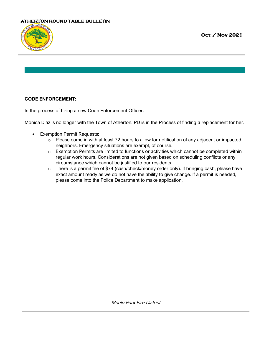

## **CODE ENFORCEMENT:**

In the process of hiring a new Code Enforcement Officer.

Monica Diaz is no longer with the Town of Atherton. PD is in the Process of finding a replacement for her.

 $\_$  , and the set of the set of the set of the set of the set of the set of the set of the set of the set of the set of the set of the set of the set of the set of the set of the set of the set of the set of the set of th

- Exemption Permit Requests:
	- o Please come in with at least 72 hours to allow for notification of any adjacent or impacted neighbors. Emergency situations are exempt, of course.
	- o Exemption Permits are limited to functions or activities which cannot be completed within regular work hours. Considerations are not given based on scheduling conflicts or any circumstance which cannot be justified to our residents.
	- o There is a permit fee of \$74 (cash/check/money order only). If bringing cash, please have exact amount ready as we do not have the ability to give change. If a permit is needed, please come into the Police Department to make application.

Menlo Park Fire District